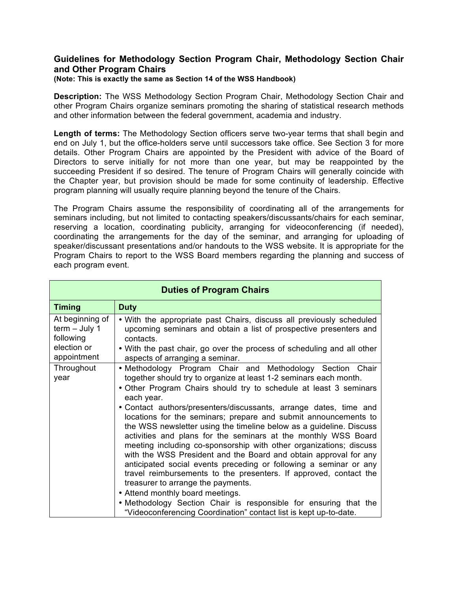# **Guidelines for Methodology Section Program Chair, Methodology Section Chair and Other Program Chairs**

### **(Note: This is exactly the same as Section 14 of the WSS Handbook)**

**Description:** The WSS Methodology Section Program Chair, Methodology Section Chair and other Program Chairs organize seminars promoting the sharing of statistical research methods and other information between the federal government, academia and industry.

**Length of terms:** The Methodology Section officers serve two-year terms that shall begin and end on July 1, but the office-holders serve until successors take office. See Section 3 for more details. Other Program Chairs are appointed by the President with advice of the Board of Directors to serve initially for not more than one year, but may be reappointed by the succeeding President if so desired. The tenure of Program Chairs will generally coincide with the Chapter year, but provision should be made for some continuity of leadership. Effective program planning will usually require planning beyond the tenure of the Chairs.

The Program Chairs assume the responsibility of coordinating all of the arrangements for seminars including, but not limited to contacting speakers/discussants/chairs for each seminar, reserving a location, coordinating publicity, arranging for videoconferencing (if needed), coordinating the arrangements for the day of the seminar, and arranging for uploading of speaker/discussant presentations and/or handouts to the WSS website. It is appropriate for the Program Chairs to report to the WSS Board members regarding the planning and success of each program event.

| <b>Duties of Program Chairs</b>                                               |                                                                                                                                                                                                                                                                                                                                                                                                                                                                                                                                                                                                                                                                                                                                                                                                                                                                                                                                                                                                           |  |  |  |
|-------------------------------------------------------------------------------|-----------------------------------------------------------------------------------------------------------------------------------------------------------------------------------------------------------------------------------------------------------------------------------------------------------------------------------------------------------------------------------------------------------------------------------------------------------------------------------------------------------------------------------------------------------------------------------------------------------------------------------------------------------------------------------------------------------------------------------------------------------------------------------------------------------------------------------------------------------------------------------------------------------------------------------------------------------------------------------------------------------|--|--|--|
| <b>Timing</b>                                                                 | <b>Duty</b>                                                                                                                                                                                                                                                                                                                                                                                                                                                                                                                                                                                                                                                                                                                                                                                                                                                                                                                                                                                               |  |  |  |
| At beginning of<br>$term - July 1$<br>following<br>election or<br>appointment | . With the appropriate past Chairs, discuss all previously scheduled<br>upcoming seminars and obtain a list of prospective presenters and<br>contacts.<br>• With the past chair, go over the process of scheduling and all other<br>aspects of arranging a seminar.                                                                                                                                                                                                                                                                                                                                                                                                                                                                                                                                                                                                                                                                                                                                       |  |  |  |
| Throughout<br>year                                                            | . Methodology Program Chair and Methodology Section Chair<br>together should try to organize at least 1-2 seminars each month.<br>. Other Program Chairs should try to schedule at least 3 seminars<br>each year.<br>• Contact authors/presenters/discussants, arrange dates, time and<br>locations for the seminars; prepare and submit announcements to<br>the WSS newsletter using the timeline below as a guideline. Discuss<br>activities and plans for the seminars at the monthly WSS Board<br>meeting including co-sponsorship with other organizations; discuss<br>with the WSS President and the Board and obtain approval for any<br>anticipated social events preceding or following a seminar or any<br>travel reimbursements to the presenters. If approved, contact the<br>treasurer to arrange the payments.<br>• Attend monthly board meetings.<br>. Methodology Section Chair is responsible for ensuring that the<br>"Videoconferencing Coordination" contact list is kept up-to-date. |  |  |  |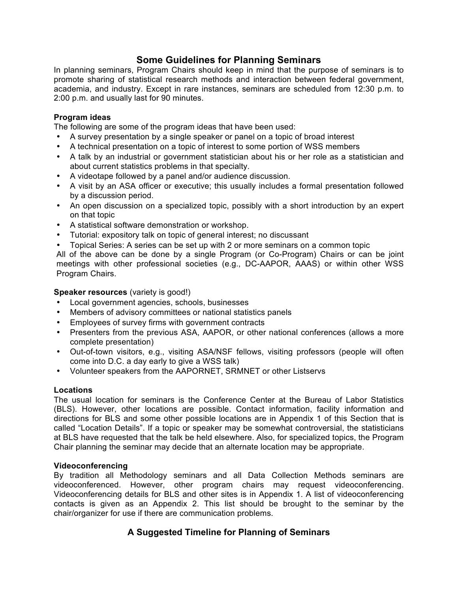# **Some Guidelines for Planning Seminars**

In planning seminars, Program Chairs should keep in mind that the purpose of seminars is to promote sharing of statistical research methods and interaction between federal government, academia, and industry. Except in rare instances, seminars are scheduled from 12:30 p.m. to 2:00 p.m. and usually last for 90 minutes.

# **Program ideas**

The following are some of the program ideas that have been used:

- A survey presentation by a single speaker or panel on a topic of broad interest
- A technical presentation on a topic of interest to some portion of WSS members
- A talk by an industrial or government statistician about his or her role as a statistician and about current statistics problems in that specialty.
- A videotape followed by a panel and/or audience discussion.
- A visit by an ASA officer or executive; this usually includes a formal presentation followed by a discussion period.
- An open discussion on a specialized topic, possibly with a short introduction by an expert on that topic
- A statistical software demonstration or workshop.
- Tutorial: expository talk on topic of general interest; no discussant
- Topical Series: A series can be set up with 2 or more seminars on a common topic

All of the above can be done by a single Program (or Co-Program) Chairs or can be joint meetings with other professional societies (e.g., DC-AAPOR, AAAS) or within other WSS Program Chairs.

# **Speaker resources** (variety is good!)

- Local government agencies, schools, businesses
- Members of advisory committees or national statistics panels
- Employees of survey firms with government contracts
- Presenters from the previous ASA, AAPOR, or other national conferences (allows a more complete presentation)
- Out-of-town visitors, e.g., visiting ASA/NSF fellows, visiting professors (people will often come into D.C. a day early to give a WSS talk)
- Volunteer speakers from the AAPORNET, SRMNET or other Listservs

# **Locations**

The usual location for seminars is the Conference Center at the Bureau of Labor Statistics (BLS). However, other locations are possible. Contact information, facility information and directions for BLS and some other possible locations are in Appendix 1 of this Section that is called "Location Details". If a topic or speaker may be somewhat controversial, the statisticians at BLS have requested that the talk be held elsewhere. Also, for specialized topics, the Program Chair planning the seminar may decide that an alternate location may be appropriate.

# **Videoconferencing**

By tradition all Methodology seminars and all Data Collection Methods seminars are videoconferenced. However, other program chairs may request videoconferencing. Videoconferencing details for BLS and other sites is in Appendix 1. A list of videoconferencing contacts is given as an Appendix 2. This list should be brought to the seminar by the chair/organizer for use if there are communication problems.

# **A Suggested Timeline for Planning of Seminars**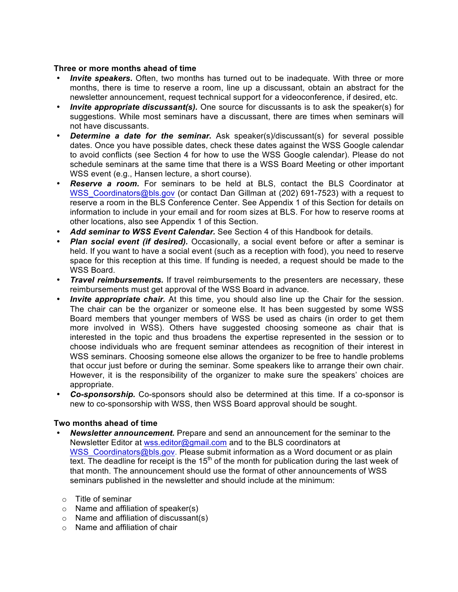# **Three or more months ahead of time**

- **Invite speakers.** Often, two months has turned out to be inadequate. With three or more months, there is time to reserve a room, line up a discussant, obtain an abstract for the newsletter announcement, request technical support for a videoconference, if desired, etc.
- *Invite appropriate discussant(s).* One source for discussants is to ask the speaker(s) for suggestions. While most seminars have a discussant, there are times when seminars will not have discussants.
- *Determine a date for the seminar.* Ask speaker(s)/discussant(s) for several possible dates. Once you have possible dates, check these dates against the WSS Google calendar to avoid conflicts (see Section 4 for how to use the WSS Google calendar). Please do not schedule seminars at the same time that there is a WSS Board Meeting or other important WSS event (e.g., Hansen lecture, a short course).
- *Reserve a room.* For seminars to be held at BLS, contact the BLS Coordinator at WSS\_Coordinators@bls.gov (or contact Dan Gillman at (202) 691-7523) with a request to reserve a room in the BLS Conference Center. See Appendix 1 of this Section for details on information to include in your email and for room sizes at BLS. For how to reserve rooms at other locations, also see Appendix 1 of this Section.
- *Add seminar to WSS Event Calendar.* See Section 4 of this Handbook for details.
- *Plan social event (if desired).* Occasionally, a social event before or after a seminar is held. If you want to have a social event (such as a reception with food), you need to reserve space for this reception at this time. If funding is needed, a request should be made to the WSS Board.
- *Travel reimbursements.* If travel reimbursements to the presenters are necessary, these reimbursements must get approval of the WSS Board in advance.
- *Invite appropriate chair.* At this time, you should also line up the Chair for the session. The chair can be the organizer or someone else. It has been suggested by some WSS Board members that younger members of WSS be used as chairs (in order to get them more involved in WSS). Others have suggested choosing someone as chair that is interested in the topic and thus broadens the expertise represented in the session or to choose individuals who are frequent seminar attendees as recognition of their interest in WSS seminars. Choosing someone else allows the organizer to be free to handle problems that occur just before or during the seminar. Some speakers like to arrange their own chair. However, it is the responsibility of the organizer to make sure the speakers' choices are appropriate.
- *Co-sponsorship.* Co-sponsors should also be determined at this time. If a co-sponsor is new to co-sponsorship with WSS, then WSS Board approval should be sought.

# **Two months ahead of time**

- *Newsletter announcement.* Prepare and send an announcement for the seminar to the Newsletter Editor at wss.editor@gmail.com and to the BLS coordinators at WSS Coordinators@bls.gov. Please submit information as a Word document or as plain text. The deadline for receipt is the  $15<sup>th</sup>$  of the month for publication during the last week of that month. The announcement should use the format of other announcements of WSS seminars published in the newsletter and should include at the minimum:
	- o Title of seminar
	- o Name and affiliation of speaker(s)
	- o Name and affiliation of discussant(s)
	- $\circ$  Name and affiliation of chair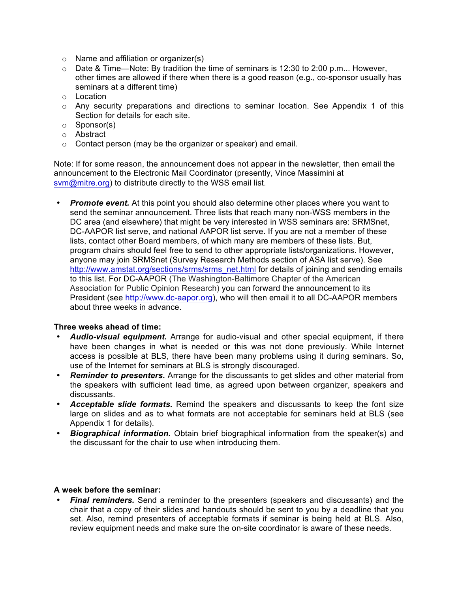- $\circ$  Name and affiliation or organizer(s)
- $\circ$  Date & Time—Note: By tradition the time of seminars is 12:30 to 2:00 p.m... However, other times are allowed if there when there is a good reason (e.g., co-sponsor usually has seminars at a different time)
- o Location
- $\circ$  Any security preparations and directions to seminar location. See Appendix 1 of this Section for details for each site.
- o Sponsor(s)
- o Abstract
- o Contact person (may be the organizer or speaker) and email.

Note: If for some reason, the announcement does not appear in the newsletter, then email the announcement to the Electronic Mail Coordinator (presently, Vince Massimini at svm@mitre.org) to distribute directly to the WSS email list.

• *Promote event.* At this point you should also determine other places where you want to send the seminar announcement. Three lists that reach many non-WSS members in the DC area (and elsewhere) that might be very interested in WSS seminars are: SRMSnet, DC-AAPOR list serve, and national AAPOR list serve. If you are not a member of these lists, contact other Board members, of which many are members of these lists. But, program chairs should feel free to send to other appropriate lists/organizations. However, anyone may join SRMSnet (Survey Research Methods section of ASA list serve). See http://www.amstat.org/sections/srms/srms\_net.html for details of joining and sending emails to this list. For DC-AAPOR (The Washington-Baltimore Chapter of the American Association for Public Opinion Research) you can forward the announcement to its President (see http://www.dc-aapor.org), who will then email it to all DC-AAPOR members about three weeks in advance.

## **Three weeks ahead of time:**

- *Audio-visual equipment.* Arrange for audio-visual and other special equipment, if there have been changes in what is needed or this was not done previously. While Internet access is possible at BLS, there have been many problems using it during seminars. So, use of the Internet for seminars at BLS is strongly discouraged.
- *Reminder to presenters.* Arrange for the discussants to get slides and other material from the speakers with sufficient lead time, as agreed upon between organizer, speakers and discussants.
- *Acceptable slide formats.* Remind the speakers and discussants to keep the font size large on slides and as to what formats are not acceptable for seminars held at BLS (see Appendix 1 for details).
- *Biographical information.* Obtain brief biographical information from the speaker(s) and the discussant for the chair to use when introducing them.

# **A week before the seminar:**

• *Final reminders.* Send a reminder to the presenters (speakers and discussants) and the chair that a copy of their slides and handouts should be sent to you by a deadline that you set. Also, remind presenters of acceptable formats if seminar is being held at BLS. Also, review equipment needs and make sure the on-site coordinator is aware of these needs.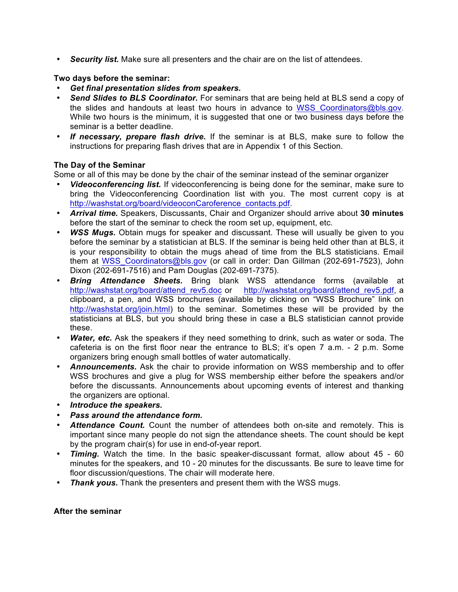• *Security list.* Make sure all presenters and the chair are on the list of attendees.

# **Two days before the seminar:**

- *Get final presentation slides from speakers.*
- *Send Slides to BLS Coordinator.* For seminars that are being held at BLS send a copy of the slides and handouts at least two hours in advance to WSS Coordinators@bls.gov. While two hours is the minimum, it is suggested that one or two business days before the seminar is a better deadline.
- *If necessary, prepare flash drive.* If the seminar is at BLS, make sure to follow the instructions for preparing flash drives that are in Appendix 1 of this Section.

# **The Day of the Seminar**

Some or all of this may be done by the chair of the seminar instead of the seminar organizer

- *Videoconferencing list.* If videoconferencing is being done for the seminar, make sure to bring the Videoconferencing Coordination list with you. The most current copy is at http://washstat.org/board/videoconCaroference\_contacts.pdf.
- *Arrival time.* Speakers, Discussants, Chair and Organizer should arrive about **30 minutes** before the start of the seminar to check the room set up, equipment, etc.
- *WSS Mugs.* Obtain mugs for speaker and discussant. These will usually be given to you before the seminar by a statistician at BLS. If the seminar is being held other than at BLS, it is your responsibility to obtain the mugs ahead of time from the BLS statisticians. Email them at WSS\_Coordinators@bls.gov (or call in order: Dan Gillman (202-691-7523), John Dixon (202-691-7516) and Pam Douglas (202-691-7375).
- *Bring Attendance Sheets.* Bring blank WSS attendance forms (available at http://washstat.org/board/attend\_rev5.doc or http://washstat.org/board/attend\_rev5.pdf, a clipboard, a pen, and WSS brochures (available by clicking on "WSS Brochure" link on http://washstat.org/join.html) to the seminar. Sometimes these will be provided by the statisticians at BLS, but you should bring these in case a BLS statistician cannot provide these.
- **Water, etc.** Ask the speakers if they need something to drink, such as water or soda. The cafeteria is on the first floor near the entrance to BLS; it's open 7 a.m. - 2 p.m. Some organizers bring enough small bottles of water automatically.
- *Announcements.* Ask the chair to provide information on WSS membership and to offer WSS brochures and give a plug for WSS membership either before the speakers and/or before the discussants. Announcements about upcoming events of interest and thanking the organizers are optional.
- *Introduce the speakers.*
- *Pass around the attendance form.*
- *Attendance Count.* Count the number of attendees both on-site and remotely. This is important since many people do not sign the attendance sheets. The count should be kept by the program chair(s) for use in end-of-year report.
- *Timing.* Watch the time. In the basic speaker-discussant format, allow about 45 60 minutes for the speakers, and 10 - 20 minutes for the discussants. Be sure to leave time for floor discussion/questions. The chair will moderate here.
- *Thank yous.* Thank the presenters and present them with the WSS mugs.

## **After the seminar**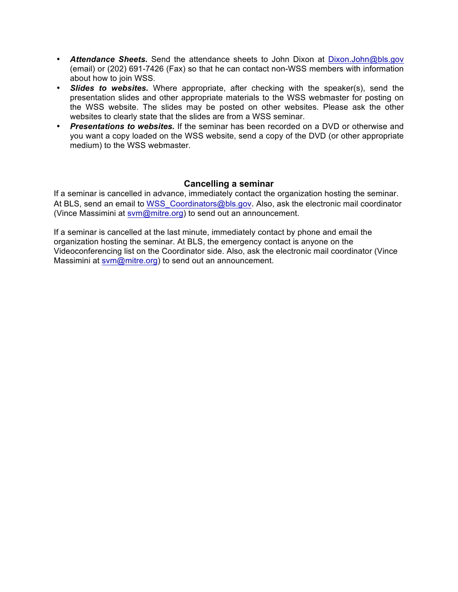- *Attendance Sheets.* Send the attendance sheets to John Dixon at Dixon.John@bls.gov (email) or (202) 691-7426 (Fax) so that he can contact non-WSS members with information about how to join WSS.
- *Slides to websites.* Where appropriate, after checking with the speaker(s), send the presentation slides and other appropriate materials to the WSS webmaster for posting on the WSS website. The slides may be posted on other websites. Please ask the other websites to clearly state that the slides are from a WSS seminar.
- *Presentations to websites.* If the seminar has been recorded on a DVD or otherwise and you want a copy loaded on the WSS website, send a copy of the DVD (or other appropriate medium) to the WSS webmaster.

# **Cancelling a seminar**

If a seminar is cancelled in advance, immediately contact the organization hosting the seminar. At BLS, send an email to WSS\_Coordinators@bls.gov. Also, ask the electronic mail coordinator (Vince Massimini at svm@mitre.org) to send out an announcement.

If a seminar is cancelled at the last minute, immediately contact by phone and email the organization hosting the seminar. At BLS, the emergency contact is anyone on the Videoconferencing list on the Coordinator side. Also, ask the electronic mail coordinator (Vince Massimini at sym@mitre.org) to send out an announcement.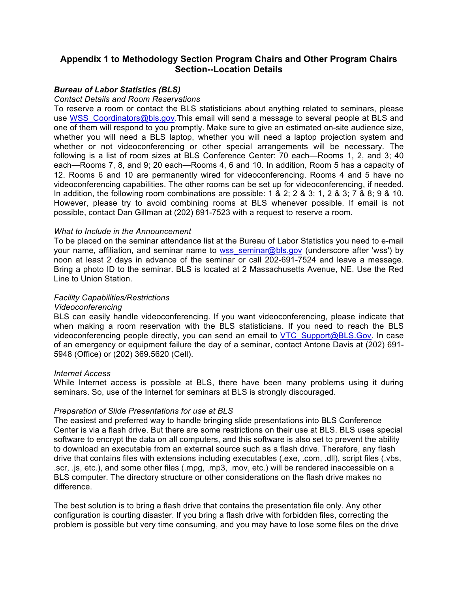# **Appendix 1 to Methodology Section Program Chairs and Other Program Chairs Section--Location Details**

# *Bureau of Labor Statistics (BLS)*

#### *Contact Details and Room Reservations*

To reserve a room or contact the BLS statisticians about anything related to seminars, please use WSS\_Coordinators@bls.gov.This email will send a message to several people at BLS and one of them will respond to you promptly. Make sure to give an estimated on-site audience size, whether you will need a BLS laptop, whether you will need a laptop projection system and whether or not videoconferencing or other special arrangements will be necessary. The following is a list of room sizes at BLS Conference Center: 70 each—Rooms 1, 2, and 3; 40 each—Rooms 7, 8, and 9; 20 each—Rooms 4, 6 and 10. In addition, Room 5 has a capacity of 12. Rooms 6 and 10 are permanently wired for videoconferencing. Rooms 4 and 5 have no videoconferencing capabilities. The other rooms can be set up for videoconferencing, if needed. In addition, the following room combinations are possible: 1 & 2; 2 & 3; 1, 2 & 3; 7 & 8; 9 & 10. However, please try to avoid combining rooms at BLS whenever possible. If email is not possible, contact Dan Gillman at (202) 691-7523 with a request to reserve a room.

### *What to Include in the Announcement*

To be placed on the seminar attendance list at the Bureau of Labor Statistics you need to e-mail your name, affiliation, and seminar name to wss seminar@bls.gov (underscore after 'wss') by noon at least 2 days in advance of the seminar or call 202-691-7524 and leave a message. Bring a photo ID to the seminar. BLS is located at 2 Massachusetts Avenue, NE. Use the Red Line to Union Station.

### *Facility Capabilities/Restrictions*

#### *Videoconferencing*

BLS can easily handle videoconferencing. If you want videoconferencing, please indicate that when making a room reservation with the BLS statisticians. If you need to reach the BLS videoconferencing people directly, you can send an email to VTC\_Support@BLS.Gov. In case of an emergency or equipment failure the day of a seminar, contact Antone Davis at (202) 691- 5948 (Office) or (202) 369.5620 (Cell).

#### *Internet Access*

While Internet access is possible at BLS, there have been many problems using it during seminars. So, use of the Internet for seminars at BLS is strongly discouraged.

## *Preparation of Slide Presentations for use at BLS*

The easiest and preferred way to handle bringing slide presentations into BLS Conference Center is via a flash drive. But there are some restrictions on their use at BLS. BLS uses special software to encrypt the data on all computers, and this software is also set to prevent the ability to download an executable from an external source such as a flash drive. Therefore, any flash drive that contains files with extensions including executables (.exe, .com, .dll), script files (.vbs, .scr, .js, etc.), and some other files (.mpg, .mp3, .mov, etc.) will be rendered inaccessible on a BLS computer. The directory structure or other considerations on the flash drive makes no difference.

The best solution is to bring a flash drive that contains the presentation file only. Any other configuration is courting disaster. If you bring a flash drive with forbidden files, correcting the problem is possible but very time consuming, and you may have to lose some files on the drive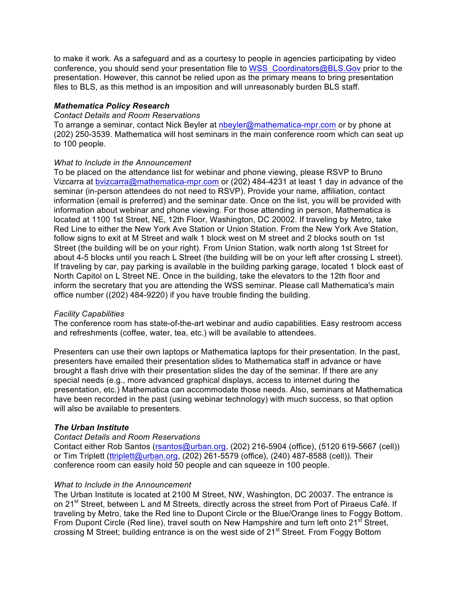to make it work. As a safeguard and as a courtesy to people in agencies participating by video conference, you should send your presentation file to WSS\_Coordinators@BLS.Gov prior to the presentation. However, this cannot be relied upon as the primary means to bring presentation files to BLS, as this method is an imposition and will unreasonably burden BLS staff.

# *Mathematica Policy Research*

### *Contact Details and Room Reservations*

To arrange a seminar, contact Nick Beyler at nbeyler@mathematica-mpr.com or by phone at (202) 250-3539. Mathematica will host seminars in the main conference room which can seat up to 100 people.

# *What to Include in the Announcement*

To be placed on the attendance list for webinar and phone viewing, please RSVP to Bruno Vizcarra at bvizcarra@mathematica-mpr.com or (202) 484-4231 at least 1 day in advance of the seminar (in-person attendees do not need to RSVP). Provide your name, affiliation, contact information (email is preferred) and the seminar date. Once on the list, you will be provided with information about webinar and phone viewing. For those attending in person, Mathematica is located at 1100 1st Street, NE, 12th Floor, Washington, DC 20002. If traveling by Metro, take Red Line to either the New York Ave Station or Union Station. From the New York Ave Station, follow signs to exit at M Street and walk 1 block west on M street and 2 blocks south on 1st Street (the building will be on your right). From Union Station, walk north along 1st Street for about 4-5 blocks until you reach L Street (the building will be on your left after crossing L street). If traveling by car, pay parking is available in the building parking garage, located 1 block east of North Capitol on L Street NE. Once in the building, take the elevators to the 12th floor and inform the secretary that you are attending the WSS seminar. Please call Mathematica's main office number ((202) 484-9220) if you have trouble finding the building.

## *Facility Capabilities*

The conference room has state-of-the-art webinar and audio capabilities. Easy restroom access and refreshments (coffee, water, tea, etc.) will be available to attendees.

Presenters can use their own laptops or Mathematica laptops for their presentation. In the past, presenters have emailed their presentation slides to Mathematica staff in advance or have brought a flash drive with their presentation slides the day of the seminar. If there are any special needs (e.g., more advanced graphical displays, access to internet during the presentation, etc.) Mathematica can accommodate those needs. Also, seminars at Mathematica have been recorded in the past (using webinar technology) with much success, so that option will also be available to presenters.

# *The Urban Institute*

## *Contact Details and Room Reservations*

Contact either Rob Santos (rsantos@urban.org, (202) 216-5904 (office), (5120 619-5667 (cell)) or Tim Triplett (ttriplett@urban.org, (202) 261-5579 (office), (240) 487-8588 (cell)). Their conference room can easily hold 50 people and can squeeze in 100 people.

## *What to Include in the Announcement*

The Urban Institute is located at 2100 M Street, NW, Washington, DC 20037. The entrance is on 21<sup>st</sup> Street, between L and M Streets, directly across the street from Port of Piraeus Café. If traveling by Metro, take the Red line to Dupont Circle or the Blue/Orange lines to Foggy Bottom. From Dupont Circle (Red line), travel south on New Hampshire and turn left onto 21<sup>st</sup> Street, crossing M Street; building entrance is on the west side of 21<sup>st</sup> Street. From Foggy Bottom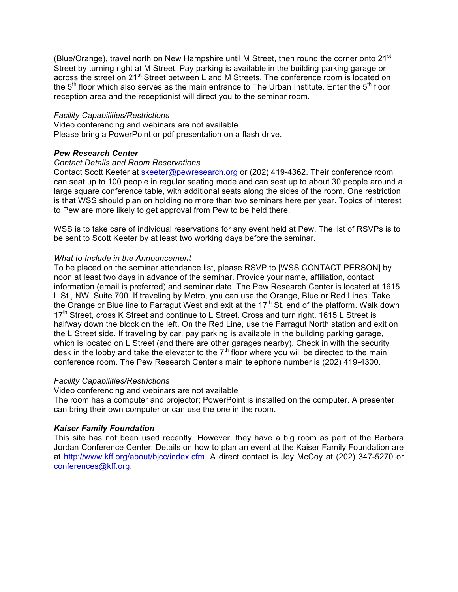(Blue/Orange), travel north on New Hampshire until M Street, then round the corner onto 21 $^{\rm st}$ Street by turning right at M Street. Pay parking is available in the building parking garage or across the street on 21<sup>st</sup> Street between L and M Streets. The conference room is located on the  $5<sup>th</sup>$  floor which also serves as the main entrance to The Urban Institute. Enter the  $5<sup>th</sup>$  floor reception area and the receptionist will direct you to the seminar room.

## *Facility Capabilities/Restrictions*

Video conferencing and webinars are not available. Please bring a PowerPoint or pdf presentation on a flash drive.

## *Pew Research Center*

## *Contact Details and Room Reservations*

Contact Scott Keeter at skeeter@pewresearch.org or (202) 419-4362. Their conference room can seat up to 100 people in regular seating mode and can seat up to about 30 people around a large square conference table, with additional seats along the sides of the room. One restriction is that WSS should plan on holding no more than two seminars here per year. Topics of interest to Pew are more likely to get approval from Pew to be held there.

WSS is to take care of individual reservations for any event held at Pew. The list of RSVPs is to be sent to Scott Keeter by at least two working days before the seminar.

## *What to Include in the Announcement*

To be placed on the seminar attendance list, please RSVP to [WSS CONTACT PERSON] by noon at least two days in advance of the seminar. Provide your name, affiliation, contact information (email is preferred) and seminar date. The Pew Research Center is located at 1615 L St., NW, Suite 700. If traveling by Metro, you can use the Orange, Blue or Red Lines. Take the Orange or Blue line to Farragut West and exit at the 17<sup>th</sup> St. end of the platform. Walk down 17<sup>th</sup> Street, cross K Street and continue to L Street. Cross and turn right. 1615 L Street is halfway down the block on the left. On the Red Line, use the Farragut North station and exit on the L Street side. If traveling by car, pay parking is available in the building parking garage, which is located on L Street (and there are other garages nearby). Check in with the security desk in the lobby and take the elevator to the  $7<sup>th</sup>$  floor where you will be directed to the main conference room. The Pew Research Center's main telephone number is (202) 419-4300.

## *Facility Capabilities/Restrictions*

Video conferencing and webinars are not available

The room has a computer and projector; PowerPoint is installed on the computer. A presenter can bring their own computer or can use the one in the room.

## *Kaiser Family Foundation*

This site has not been used recently. However, they have a big room as part of the Barbara Jordan Conference Center. Details on how to plan an event at the Kaiser Family Foundation are at http://www.kff.org/about/bjcc/index.cfm. A direct contact is Joy McCoy at (202) 347-5270 or conferences@kff.org.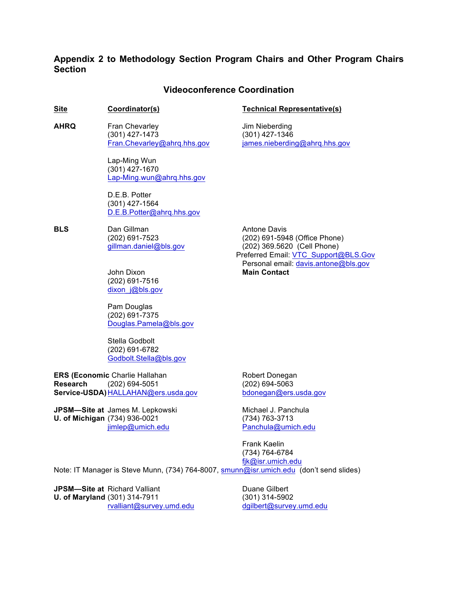# **Appendix 2 to Methodology Section Program Chairs and Other Program Chairs Section**

# **Videoconference Coordination**

#### **Site Coordinator(s) Technical Representative(s)**

**AHRQ** Fran Chevarley **Fran** Chevarley **Fran** Property Frankling (301) 427-1473 (301) 427-1346

> Lap-Ming Wun (301) 427-1670 Lap-Ming.wun@ahrq.hhs.gov

D.E.B. Potter (301) 427-1564 D.E.B.Potter@ahrq.hhs.gov

**BLS** Dan Gillman **Antone Davis Antone Davis** 

John Dixon **Main Contact** (202) 691-7516 dixon\_j@bls.gov

Pam Douglas (202) 691-7375 Douglas.Pamela@bls.gov

Stella Godbolt (202) 691-6782 Godbolt.Stella@bls.gov

**ERS (Economic Charlie Hallahan Robert Donegan Research** (202) 694-5051 (202) 694-5063 **Service-USDA)** HALLAHAN@ers.usda.gov bdonegan@ers.usda.gov

**JPSM—Site at** James M. Lepkowski Michael J. Panchula **U. of Michigan** (734) 936-0021 (734) 763-3713

Fran.Chevarley@ahrq.hhs.gov james.nieberding@ahrq.hhs.gov

(202) 691-7523 (202) 691-5948 (Office Phone) gillman.daniel@bls.gov (202) 369.5620 (Cell Phone) Preferred Email: VTC\_Support@BLS.Gov Personal email: davis.antone@bls.gov

jimlep@umich.edu Panchula@umich.edu

Frank Kaelin (734) 764-6784 fjk@isr.umich.edu Note: IT Manager is Steve Munn, (734) 764-8007, smunn@isr.umich.edu (don't send slides)

**JPSM—Site at** Richard Valliant **Duane Gilbert** Duane Gilbert **U. of Maryland** (301) 314-7911 (301) 314-5902

rvalliant@survey.umd.edu dgilbert@survey.umd.edu